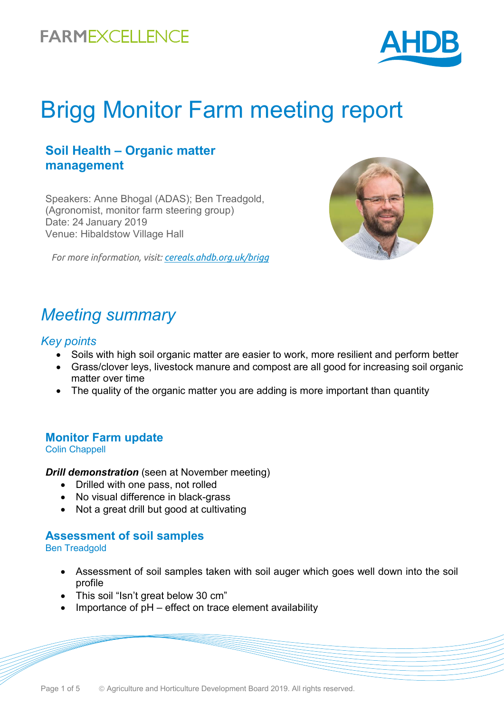

# Brigg Monitor Farm meeting report

### **Soil Health – Organic matter management**

Speakers: Anne Bhogal (ADAS); Ben Treadgold, (Agronomist, monitor farm steering group) Date: 24 January 2019 Venue: Hibaldstow Village Hall

*For more information, visit: [cereals.ahdb.org.uk/brigg](https://cereals.ahdb.org.uk/get-involved/monitorfarms/brigg-monitor-farm.aspx)*



### *Meeting summary*

#### *Key points*

- Soils with high soil organic matter are easier to work, more resilient and perform better
- Grass/clover leys, livestock manure and compost are all good for increasing soil organic matter over time
- The quality of the organic matter you are adding is more important than quantity

### **Monitor Farm update**

#### Colin Chappell

*Drill demonstration* (seen at November meeting)

- Drilled with one pass, not rolled
- No visual difference in black-grass
- Not a great drill but good at cultivating

#### **Assessment of soil samples** Ben Treadgold

- Assessment of soil samples taken with soil auger which goes well down into the soil profile
- This soil "Isn't great below 30 cm"
- Importance of pH effect on trace element availability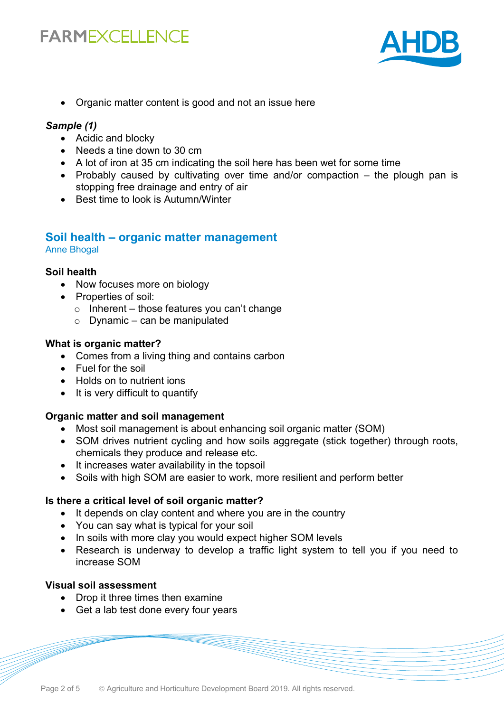

• Organic matter content is good and not an issue here

#### *Sample (1)*

- Acidic and blocky
- Needs a tine down to 30 cm
- A lot of iron at 35 cm indicating the soil here has been wet for some time
- Probably caused by cultivating over time and/or compaction the plough pan is stopping free drainage and entry of air
- Best time to look is Autumn/Winter

#### **Soil health – organic matter management** Anne Bhogal

#### **Soil health**

- Now focuses more on biology
- Properties of soil:
	- $\circ$  Inherent those features you can't change
	- $\circ$  Dynamic can be manipulated

#### **What is organic matter?**

- Comes from a living thing and contains carbon
- Fuel for the soil
- Holds on to nutrient ions
- It is very difficult to quantify

#### **Organic matter and soil management**

- Most soil management is about enhancing soil organic matter (SOM)
- SOM drives nutrient cycling and how soils aggregate (stick together) through roots, chemicals they produce and release etc.
- It increases water availability in the topsoil
- Soils with high SOM are easier to work, more resilient and perform better

#### **Is there a critical level of soil organic matter?**

- It depends on clay content and where you are in the country
- You can say what is typical for your soil
- In soils with more clay you would expect higher SOM levels
- Research is underway to develop a traffic light system to tell you if you need to increase SOM

#### **Visual soil assessment**

- Drop it three times then examine
- Get a lab test done every four years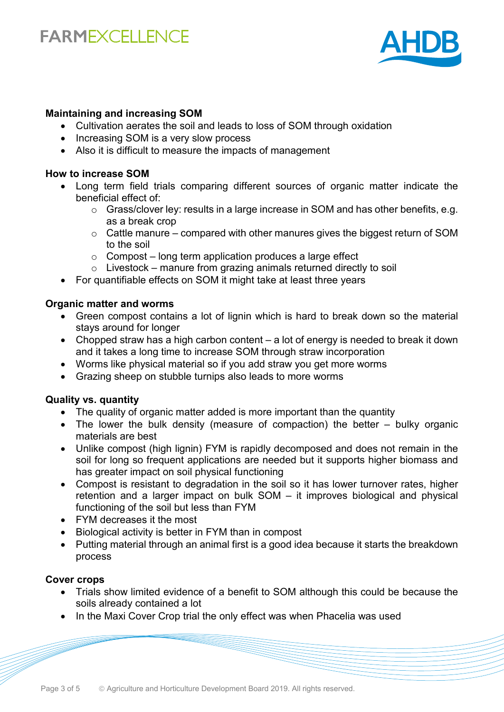

#### **Maintaining and increasing SOM**

- Cultivation aerates the soil and leads to loss of SOM through oxidation
- Increasing SOM is a very slow process
- Also it is difficult to measure the impacts of management

#### **How to increase SOM**

- Long term field trials comparing different sources of organic matter indicate the beneficial effect of:
	- o Grass/clover ley: results in a large increase in SOM and has other benefits, e.g. as a break crop
	- $\circ$  Cattle manure compared with other manures gives the biggest return of SOM to the soil
	- $\circ$  Compost long term application produces a large effect
	- $\circ$  Livestock manure from grazing animals returned directly to soil
- For quantifiable effects on SOM it might take at least three years

#### **Organic matter and worms**

- Green compost contains a lot of lignin which is hard to break down so the material stays around for longer
- Chopped straw has a high carbon content a lot of energy is needed to break it down and it takes a long time to increase SOM through straw incorporation
- Worms like physical material so if you add straw you get more worms
- Grazing sheep on stubble turnips also leads to more worms

#### **Quality vs. quantity**

- The quality of organic matter added is more important than the quantity
- The lower the bulk density (measure of compaction) the better bulky organic materials are best
- Unlike compost (high lignin) FYM is rapidly decomposed and does not remain in the soil for long so frequent applications are needed but it supports higher biomass and has greater impact on soil physical functioning
- Compost is resistant to degradation in the soil so it has lower turnover rates, higher retention and a larger impact on bulk SOM – it improves biological and physical functioning of the soil but less than FYM
- FYM decreases it the most
- Biological activity is better in FYM than in compost
- Putting material through an animal first is a good idea because it starts the breakdown process

#### **Cover crops**

- Trials show limited evidence of a benefit to SOM although this could be because the soils already contained a lot
- In the Maxi Cover Crop trial the only effect was when Phacelia was used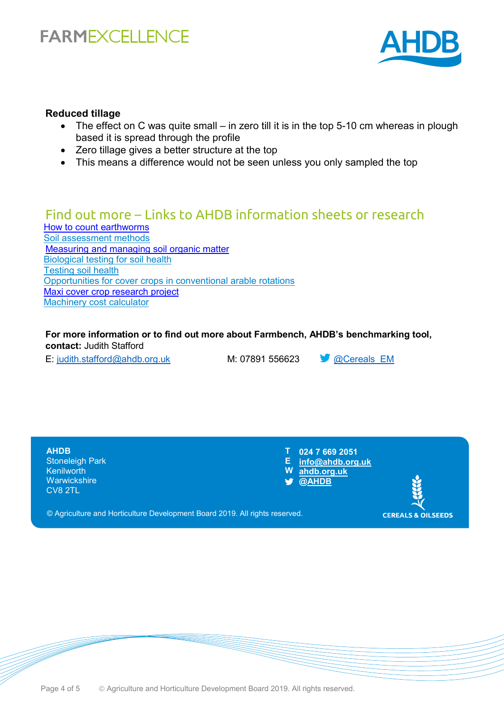

#### **Reduced tillage**

- The effect on C was quite small in zero till it is in the top 5-10 cm whereas in plough based it is spread through the profile
- Zero tillage gives a better structure at the top
- This means a difference would not be seen unless you only sampled the top

### Find out more – Links to AHDB information sheets or research

[How to count earthworms](https://ahdb.org.uk/knowledge-library/how-to-count-earthworms) [Soil assessment methods](https://projectblue.blob.core.windows.net/media/Default/Programmes/GREATSoils/GREATsoils_SoilAssess_2018-06-29_WEB.pdf) [Measuring and managing soil organic matter](https://ahdb.org.uk/knowledge-library/measuring-and-managing-soil-organic-matter) [Biological testing for soil health](https://ahdb.org.uk/knowledge-library/biological-tests-for-soil-health) [Testing soil health](https://ahdb.org.uk/knowledge-library/testing-soil-health) [Opportunities for cover crops in conventional arable rotations](https://projectblue.blob.core.windows.net/media/Default/Imported%20Publication%20Docs/IS41%20Opportunities%20for%20cover%20crops%20in%20conventional%20arable-rotations%20(2018).pdf) [Maxi cover crop research project](https://cereals.ahdb.org.uk/publications/2017/january/11/maximising-the-benefits-from-cover-crops-through-species-selection-and-crop-management-(maxi-cover-crop).aspx) [Machinery cost calculator](https://ahdb.org.uk/machinery-costing-calculator)

**For more information or to find out more about Farmbench, AHDB's benchmarking tool, contact:** Judith Stafford

E: [judith.stafford@ahdb.org.uk](mailto:judith.stafford@ahdb.org.uk) M: 07891 556623 @Cereals\_EM



© Agriculture and Horticulture Development Board 2019. All rights reserved.

Page 4 of 5 **C** Agriculture and Horticulture Development Board 2019. All rights reserved.